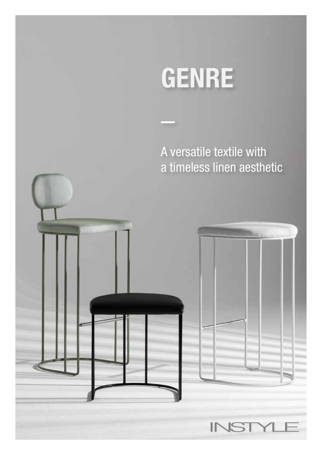A versatile textile with a timeless linen aesthetic

 $\mathbb{N}$ 

 $\Rightarrow$ ı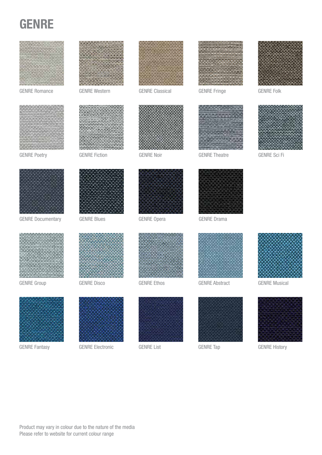





GENRE Fiction GENRE Noir



GENRE Romance GENRE Western GENRE Classical GENRE Fringe GENRE Folk GENRE Classical







GENRE Theatre **GENRE Sci Fi** 







GENRE Documentary GENRE Blues GENRE Opera GENRE Drama



GENRE Group

GENRE Fantasy



GENRE Disco



GENRE Electronic GENRE List



GENRE Opera





GENRE Ethos GENRE Abstract



GENRE Tap



GENRE Musical



GENRE History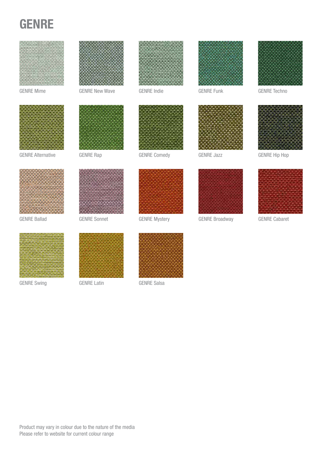



GENRE Alternative GENRE Rap GENRE Comedy GENRE Jazz GENRE Hip Hop





GENRE Mime GENRE New Wave GENRE Indie GENRE Funk GENRE Techno













GENRE Jazz









GENRE Swing GENRE Latin GENRE Salsa







Product may vary in colour due to the nature of the media Please refer to website for current colour range